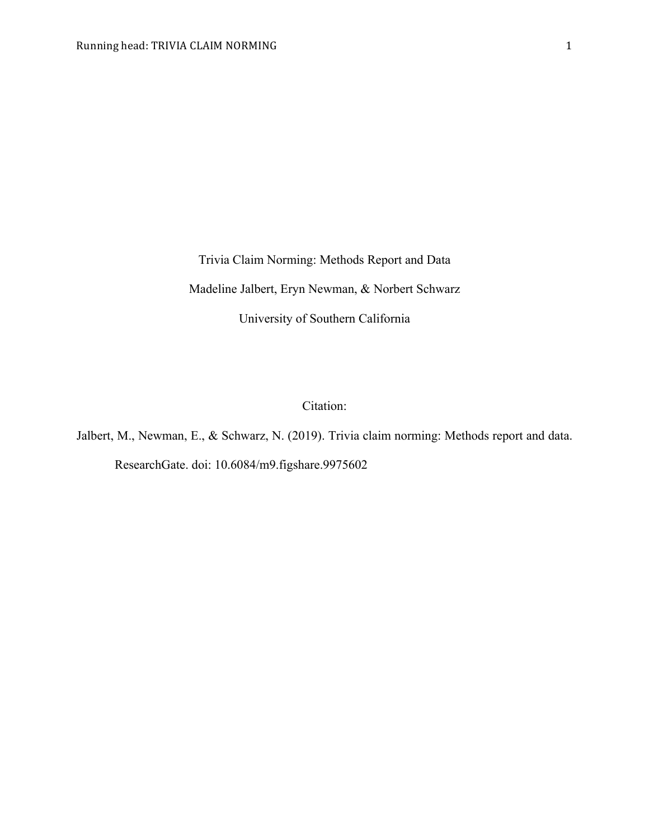Trivia Claim Norming: Methods Report and Data Madeline Jalbert, Eryn Newman, & Norbert Schwarz University of Southern California

Citation:

Jalbert, M., Newman, E., & Schwarz, N. (2019). Trivia claim norming: Methods report and data. ResearchGate. doi: 10.6084/m9.figshare.9975602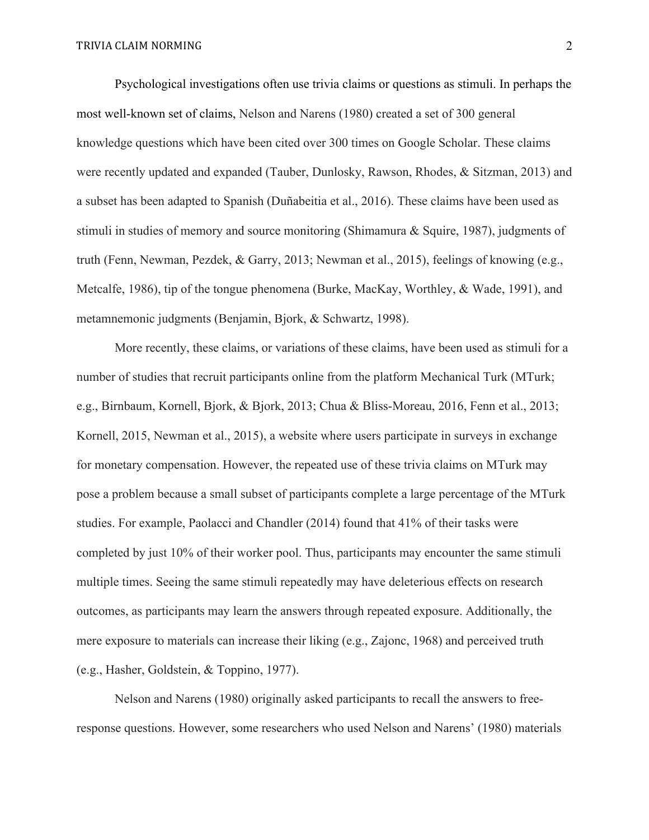Psychological investigations often use trivia claims or questions as stimuli. In perhaps the most well-known set of claims, Nelson and Narens (1980) created a set of 300 general knowledge questions which have been cited over 300 times on Google Scholar. These claims were recently updated and expanded (Tauber, Dunlosky, Rawson, Rhodes, & Sitzman, 2013) and a subset has been adapted to Spanish (Duñabeitia et al., 2016). These claims have been used as stimuli in studies of memory and source monitoring (Shimamura & Squire, 1987), judgments of truth (Fenn, Newman, Pezdek, & Garry, 2013; Newman et al., 2015), feelings of knowing (e.g., Metcalfe, 1986), tip of the tongue phenomena (Burke, MacKay, Worthley, & Wade, 1991), and metamnemonic judgments (Benjamin, Bjork, & Schwartz, 1998).

More recently, these claims, or variations of these claims, have been used as stimuli for a number of studies that recruit participants online from the platform Mechanical Turk (MTurk; e.g., Birnbaum, Kornell, Bjork, & Bjork, 2013; Chua & Bliss-Moreau, 2016, Fenn et al., 2013; Kornell, 2015, Newman et al., 2015), a website where users participate in surveys in exchange for monetary compensation. However, the repeated use of these trivia claims on MTurk may pose a problem because a small subset of participants complete a large percentage of the MTurk studies. For example, Paolacci and Chandler (2014) found that 41% of their tasks were completed by just 10% of their worker pool. Thus, participants may encounter the same stimuli multiple times. Seeing the same stimuli repeatedly may have deleterious effects on research outcomes, as participants may learn the answers through repeated exposure. Additionally, the mere exposure to materials can increase their liking (e.g., Zajonc, 1968) and perceived truth (e.g., Hasher, Goldstein, & Toppino, 1977).

Nelson and Narens (1980) originally asked participants to recall the answers to freeresponse questions. However, some researchers who used Nelson and Narens' (1980) materials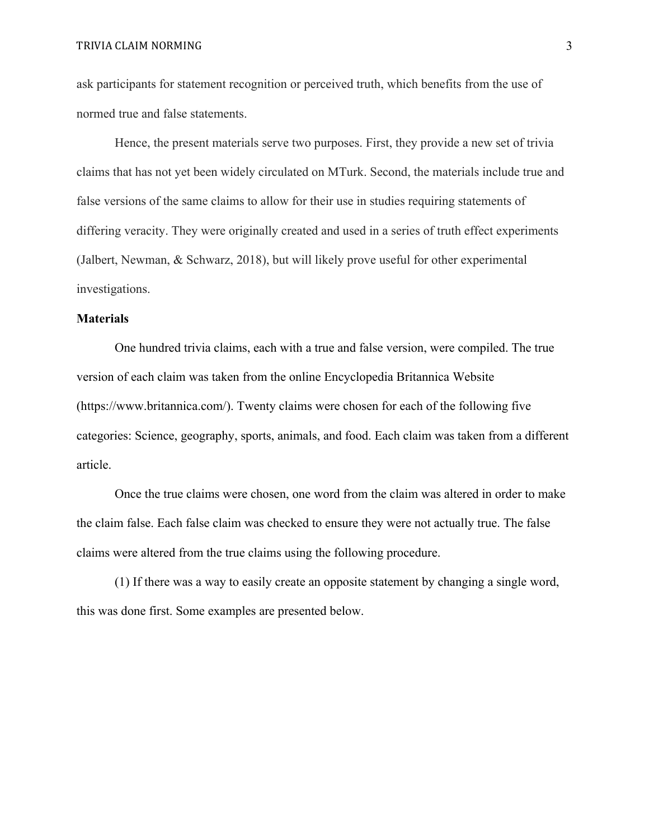TRIVIA CLAIM NORMING 3

ask participants for statement recognition or perceived truth, which benefits from the use of normed true and false statements.

Hence, the present materials serve two purposes. First, they provide a new set of trivia claims that has not yet been widely circulated on MTurk. Second, the materials include true and false versions of the same claims to allow for their use in studies requiring statements of differing veracity. They were originally created and used in a series of truth effect experiments (Jalbert, Newman, & Schwarz, 2018), but will likely prove useful for other experimental investigations.

### **Materials**

One hundred trivia claims, each with a true and false version, were compiled. The true version of each claim was taken from the online Encyclopedia Britannica Website (https://www.britannica.com/). Twenty claims were chosen for each of the following five categories: Science, geography, sports, animals, and food. Each claim was taken from a different article.

Once the true claims were chosen, one word from the claim was altered in order to make the claim false. Each false claim was checked to ensure they were not actually true. The false claims were altered from the true claims using the following procedure.

(1) If there was a way to easily create an opposite statement by changing a single word, this was done first. Some examples are presented below.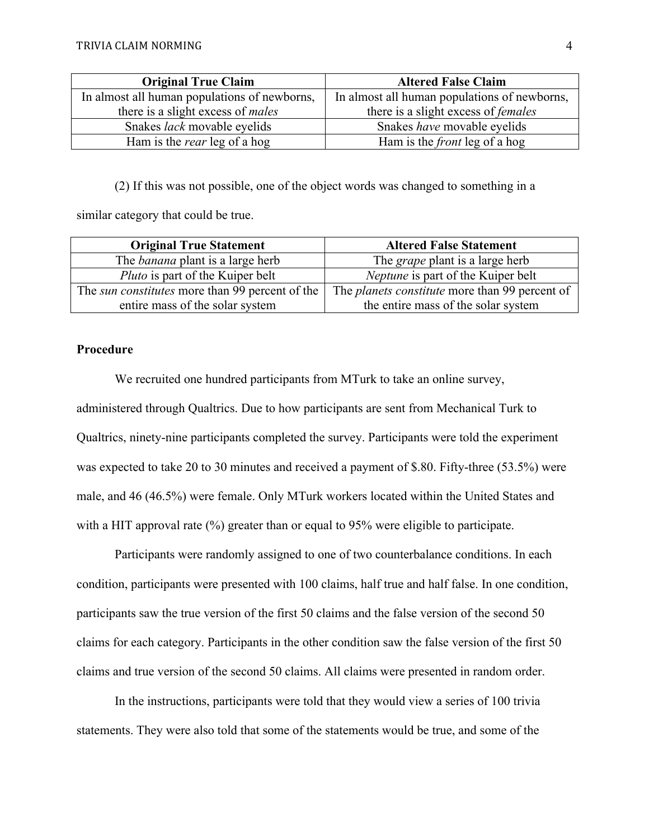| <b>Original True Claim</b>                   | <b>Altered False Claim</b>                   |
|----------------------------------------------|----------------------------------------------|
| In almost all human populations of newborns, | In almost all human populations of newborns, |
| there is a slight excess of <i>males</i>     | there is a slight excess of <i>females</i>   |
| Snakes <i>lack</i> movable eyelids           | Snakes have movable eyelids                  |
| Ham is the <i>rear</i> leg of a hog          | Ham is the <i>front</i> leg of a hog         |

(2) If this was not possible, one of the object words was changed to something in a

similar category that could be true.

| <b>Original True Statement</b>                         | <b>Altered False Statement</b>                        |
|--------------------------------------------------------|-------------------------------------------------------|
| The <i>banana</i> plant is a large herb                | The <i>grape</i> plant is a large herb                |
| <i>Pluto</i> is part of the Kuiper belt                | <i>Neptune</i> is part of the Kuiper belt             |
| The <i>sun constitutes</i> more than 99 percent of the | The <i>planets constitute</i> more than 99 percent of |
| entire mass of the solar system                        | the entire mass of the solar system                   |

### **Procedure**

We recruited one hundred participants from MTurk to take an online survey, administered through Qualtrics. Due to how participants are sent from Mechanical Turk to Qualtrics, ninety-nine participants completed the survey. Participants were told the experiment was expected to take 20 to 30 minutes and received a payment of \$.80. Fifty-three (53.5%) were male, and 46 (46.5%) were female. Only MTurk workers located within the United States and with a HIT approval rate (%) greater than or equal to 95% were eligible to participate.

Participants were randomly assigned to one of two counterbalance conditions. In each condition, participants were presented with 100 claims, half true and half false. In one condition, participants saw the true version of the first 50 claims and the false version of the second 50 claims for each category. Participants in the other condition saw the false version of the first 50 claims and true version of the second 50 claims. All claims were presented in random order.

In the instructions, participants were told that they would view a series of 100 trivia statements. They were also told that some of the statements would be true, and some of the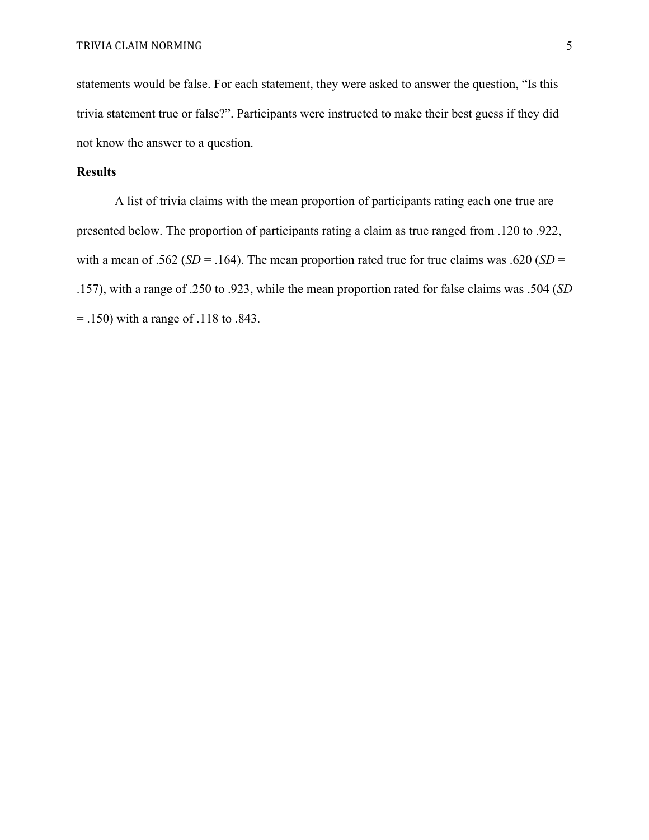statements would be false. For each statement, they were asked to answer the question, "Is this trivia statement true or false?". Participants were instructed to make their best guess if they did not know the answer to a question.

### **Results**

A list of trivia claims with the mean proportion of participants rating each one true are presented below. The proportion of participants rating a claim as true ranged from .120 to .922, with a mean of .562 ( $SD = .164$ ). The mean proportion rated true for true claims was .620 ( $SD =$ .157), with a range of .250 to .923, while the mean proportion rated for false claims was .504 (*SD* = .150) with a range of .118 to .843.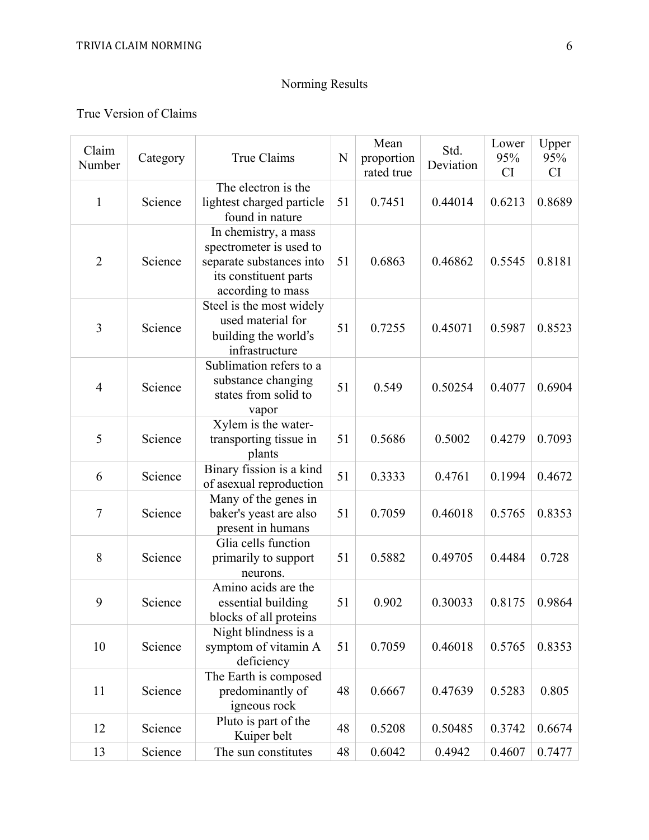# Norming Results

True Version of Claims

| Claim<br>Number | Category | True Claims                                                                                                               | N  | Mean<br>proportion<br>rated true | Std.<br>Deviation | Lower<br>95%<br>CI | Upper<br>95%<br>CI |
|-----------------|----------|---------------------------------------------------------------------------------------------------------------------------|----|----------------------------------|-------------------|--------------------|--------------------|
| $\mathbf{1}$    | Science  | The electron is the<br>lightest charged particle<br>found in nature                                                       | 51 | 0.7451                           | 0.44014           | 0.6213             | 0.8689             |
| $\overline{2}$  | Science  | In chemistry, a mass<br>spectrometer is used to<br>separate substances into<br>its constituent parts<br>according to mass | 51 | 0.6863                           | 0.46862           | 0.5545             | 0.8181             |
| 3               | Science  | Steel is the most widely<br>used material for<br>building the world's<br>infrastructure                                   | 51 | 0.7255                           | 0.45071           | 0.5987             | 0.8523             |
| $\overline{4}$  | Science  | Sublimation refers to a<br>substance changing<br>states from solid to<br>vapor                                            | 51 | 0.549                            | 0.50254           | 0.4077             | 0.6904             |
| 5               | Science  | Xylem is the water-<br>transporting tissue in<br>plants                                                                   | 51 | 0.5686                           | 0.5002            | 0.4279             | 0.7093             |
| 6               | Science  | Binary fission is a kind<br>of asexual reproduction                                                                       | 51 | 0.3333                           | 0.4761            | 0.1994             | 0.4672             |
| 7               | Science  | Many of the genes in<br>baker's yeast are also<br>present in humans                                                       | 51 | 0.7059                           | 0.46018           | 0.5765             | 0.8353             |
| 8               | Science  | Glia cells function<br>primarily to support<br>neurons.                                                                   | 51 | 0.5882                           | 0.49705           | 0.4484             | 0.728              |
| 9               | Science  | Amino acids are the<br>essential building<br>blocks of all proteins                                                       | 51 | 0.902                            | 0.30033           | 0.8175             | 0.9864             |
| 10              | Science  | Night blindness is a<br>symptom of vitamin A<br>deficiency                                                                | 51 | 0.7059                           | 0.46018           | 0.5765             | 0.8353             |
| 11              | Science  | The Earth is composed<br>predominantly of<br>igneous rock                                                                 | 48 | 0.6667                           | 0.47639           | 0.5283             | 0.805              |
| 12              | Science  | Pluto is part of the<br>Kuiper belt                                                                                       | 48 | 0.5208                           | 0.50485           | 0.3742             | 0.6674             |
| 13              | Science  | The sun constitutes                                                                                                       | 48 | 0.6042                           | 0.4942            | 0.4607             | 0.7477             |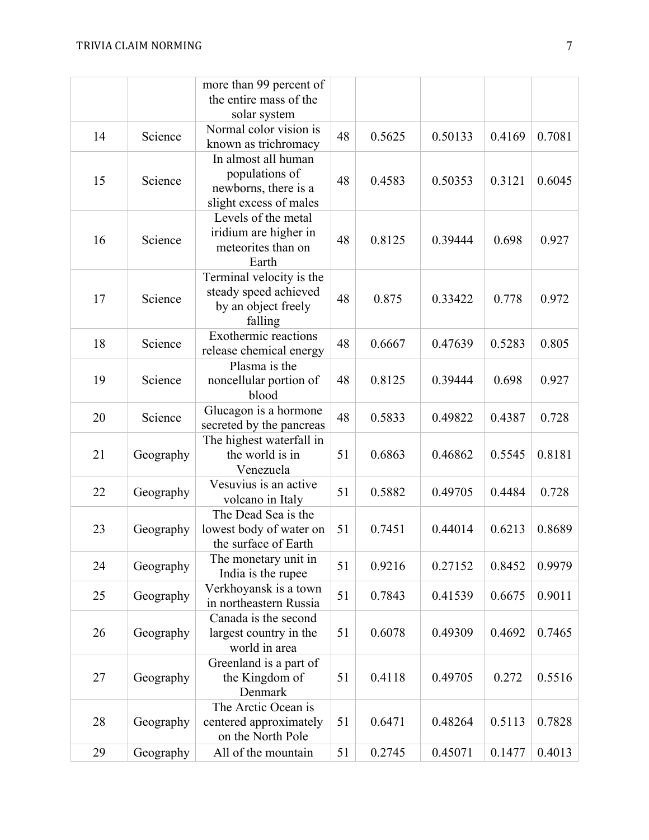|    |           | more than 99 percent of<br>the entire mass of the<br>solar system                       |    |        |         |        |        |
|----|-----------|-----------------------------------------------------------------------------------------|----|--------|---------|--------|--------|
| 14 | Science   | Normal color vision is<br>known as trichromacy                                          | 48 | 0.5625 | 0.50133 | 0.4169 | 0.7081 |
| 15 | Science   | In almost all human<br>populations of<br>newborns, there is a<br>slight excess of males | 48 | 0.4583 | 0.50353 | 0.3121 | 0.6045 |
| 16 | Science   | Levels of the metal<br>iridium are higher in<br>meteorites than on<br>Earth             | 48 | 0.8125 | 0.39444 | 0.698  | 0.927  |
| 17 | Science   | Terminal velocity is the<br>steady speed achieved<br>by an object freely<br>falling     | 48 | 0.875  | 0.33422 | 0.778  | 0.972  |
| 18 | Science   | <b>Exothermic reactions</b><br>release chemical energy                                  | 48 | 0.6667 | 0.47639 | 0.5283 | 0.805  |
| 19 | Science   | Plasma is the<br>noncellular portion of<br>blood                                        | 48 | 0.8125 | 0.39444 | 0.698  | 0.927  |
| 20 | Science   | Glucagon is a hormone<br>secreted by the pancreas                                       | 48 | 0.5833 | 0.49822 | 0.4387 | 0.728  |
| 21 | Geography | The highest waterfall in<br>the world is in<br>Venezuela                                | 51 | 0.6863 | 0.46862 | 0.5545 | 0.8181 |
| 22 | Geography | Vesuvius is an active<br>volcano in Italy                                               | 51 | 0.5882 | 0.49705 | 0.4484 | 0.728  |
| 23 | Geography | The Dead Sea is the<br>lowest body of water on<br>the surface of Earth                  | 51 | 0.7451 | 0.44014 | 0.6213 | 0.8689 |
| 24 | Geography | The monetary unit in<br>India is the rupee                                              | 51 | 0.9216 | 0.27152 | 0.8452 | 0.9979 |
| 25 | Geography | Verkhoyansk is a town<br>in northeastern Russia                                         | 51 | 0.7843 | 0.41539 | 0.6675 | 0.9011 |
| 26 | Geography | Canada is the second<br>largest country in the<br>world in area                         | 51 | 0.6078 | 0.49309 | 0.4692 | 0.7465 |
| 27 | Geography | Greenland is a part of<br>the Kingdom of<br>Denmark                                     | 51 | 0.4118 | 0.49705 | 0.272  | 0.5516 |
| 28 | Geography | The Arctic Ocean is<br>centered approximately<br>on the North Pole                      | 51 | 0.6471 | 0.48264 | 0.5113 | 0.7828 |
| 29 | Geography | All of the mountain                                                                     | 51 | 0.2745 | 0.45071 | 0.1477 | 0.4013 |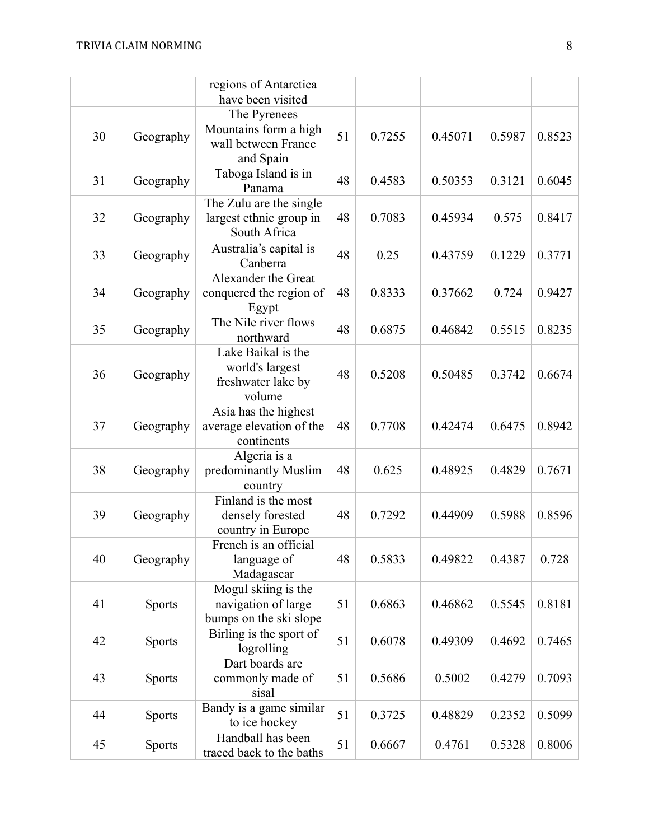|    |               | regions of Antarctica<br>have been visited                                |    |        |         |        |        |
|----|---------------|---------------------------------------------------------------------------|----|--------|---------|--------|--------|
| 30 | Geography     | The Pyrenees<br>Mountains form a high<br>wall between France<br>and Spain | 51 | 0.7255 | 0.45071 | 0.5987 | 0.8523 |
| 31 | Geography     | Taboga Island is in<br>Panama                                             | 48 | 0.4583 | 0.50353 | 0.3121 | 0.6045 |
| 32 | Geography     | The Zulu are the single<br>largest ethnic group in<br>South Africa        | 48 | 0.7083 | 0.45934 | 0.575  | 0.8417 |
| 33 | Geography     | Australia's capital is<br>Canberra                                        | 48 | 0.25   | 0.43759 | 0.1229 | 0.3771 |
| 34 | Geography     | Alexander the Great<br>conquered the region of<br>Egypt                   | 48 | 0.8333 | 0.37662 | 0.724  | 0.9427 |
| 35 | Geography     | The Nile river flows<br>northward                                         | 48 | 0.6875 | 0.46842 | 0.5515 | 0.8235 |
| 36 | Geography     | Lake Baikal is the<br>world's largest<br>freshwater lake by<br>volume     | 48 | 0.5208 | 0.50485 | 0.3742 | 0.6674 |
| 37 | Geography     | Asia has the highest<br>average elevation of the<br>continents            | 48 | 0.7708 | 0.42474 | 0.6475 | 0.8942 |
| 38 | Geography     | Algeria is a<br>predominantly Muslim<br>country                           | 48 | 0.625  | 0.48925 | 0.4829 | 0.7671 |
| 39 | Geography     | Finland is the most<br>densely forested<br>country in Europe              | 48 | 0.7292 | 0.44909 | 0.5988 | 0.8596 |
| 40 | Geography     | French is an official<br>language of<br>Madagascar                        | 48 | 0.5833 | 0.49822 | 0.4387 | 0.728  |
| 41 | <b>Sports</b> | Mogul skiing is the<br>navigation of large<br>bumps on the ski slope      | 51 | 0.6863 | 0.46862 | 0.5545 | 0.8181 |
| 42 | <b>Sports</b> | Birling is the sport of<br>logrolling                                     | 51 | 0.6078 | 0.49309 | 0.4692 | 0.7465 |
| 43 | <b>Sports</b> | Dart boards are<br>commonly made of<br>sisal                              | 51 | 0.5686 | 0.5002  | 0.4279 | 0.7093 |
| 44 | <b>Sports</b> | Bandy is a game similar<br>to ice hockey                                  | 51 | 0.3725 | 0.48829 | 0.2352 | 0.5099 |
| 45 | <b>Sports</b> | Handball has been<br>traced back to the baths                             | 51 | 0.6667 | 0.4761  | 0.5328 | 0.8006 |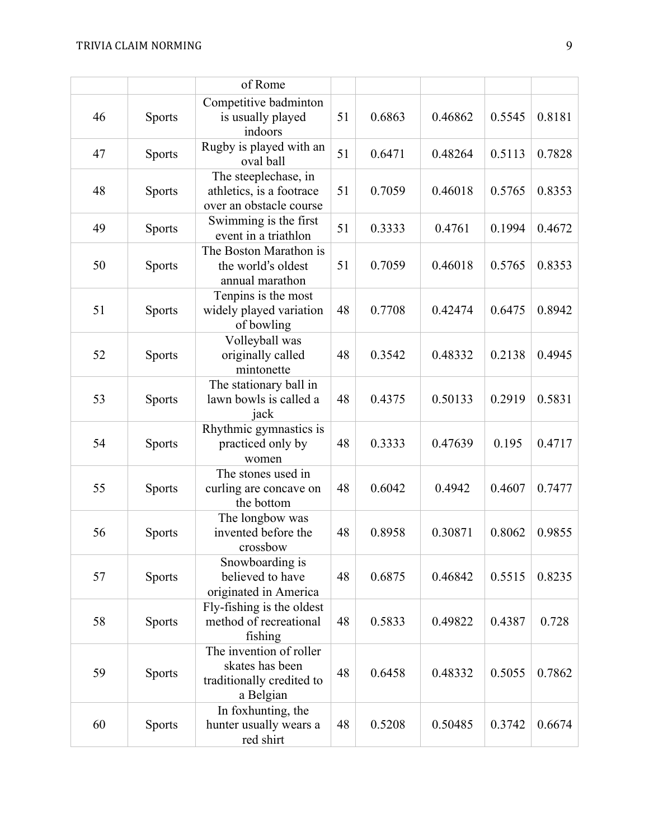|    |               | of Rome                                                                              |    |        |         |        |        |
|----|---------------|--------------------------------------------------------------------------------------|----|--------|---------|--------|--------|
| 46 | <b>Sports</b> | Competitive badminton<br>is usually played<br>indoors                                | 51 | 0.6863 | 0.46862 | 0.5545 | 0.8181 |
| 47 | <b>Sports</b> | Rugby is played with an<br>oval ball                                                 | 51 | 0.6471 | 0.48264 | 0.5113 | 0.7828 |
| 48 | <b>Sports</b> | The steeplechase, in<br>athletics, is a footrace<br>over an obstacle course          | 51 | 0.7059 | 0.46018 | 0.5765 | 0.8353 |
| 49 | <b>Sports</b> | Swimming is the first<br>event in a triathlon                                        | 51 | 0.3333 | 0.4761  | 0.1994 | 0.4672 |
| 50 | <b>Sports</b> | The Boston Marathon is<br>the world's oldest<br>annual marathon                      | 51 | 0.7059 | 0.46018 | 0.5765 | 0.8353 |
| 51 | <b>Sports</b> | Tenpins is the most<br>widely played variation<br>of bowling                         | 48 | 0.7708 | 0.42474 | 0.6475 | 0.8942 |
| 52 | <b>Sports</b> | Volleyball was<br>originally called<br>mintonette                                    | 48 | 0.3542 | 0.48332 | 0.2138 | 0.4945 |
| 53 | <b>Sports</b> | The stationary ball in<br>lawn bowls is called a<br>jack                             | 48 | 0.4375 | 0.50133 | 0.2919 | 0.5831 |
| 54 | <b>Sports</b> | Rhythmic gymnastics is<br>practiced only by<br>women                                 | 48 | 0.3333 | 0.47639 | 0.195  | 0.4717 |
| 55 | <b>Sports</b> | The stones used in<br>curling are concave on<br>the bottom                           | 48 | 0.6042 | 0.4942  | 0.4607 | 0.7477 |
| 56 | <b>Sports</b> | The longbow was<br>invented before the<br>crossbow                                   | 48 | 0.8958 | 0.30871 | 0.8062 | 0.9855 |
| 57 | <b>Sports</b> | Snowboarding is<br>believed to have<br>originated in America                         | 48 | 0.6875 | 0.46842 | 0.5515 | 0.8235 |
| 58 | <b>Sports</b> | Fly-fishing is the oldest<br>method of recreational<br>fishing                       | 48 | 0.5833 | 0.49822 | 0.4387 | 0.728  |
| 59 | <b>Sports</b> | The invention of roller<br>skates has been<br>traditionally credited to<br>a Belgian | 48 | 0.6458 | 0.48332 | 0.5055 | 0.7862 |
| 60 | <b>Sports</b> | In foxhunting, the<br>hunter usually wears a<br>red shirt                            | 48 | 0.5208 | 0.50485 | 0.3742 | 0.6674 |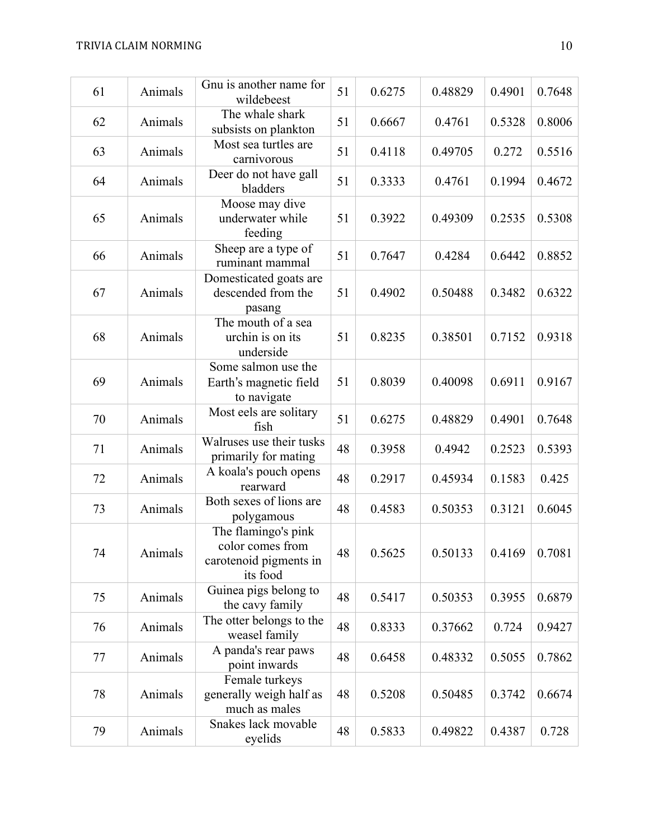| 61 | Animals | Gnu is another name for<br>wildebeest                                         | 51 | 0.6275 | 0.48829 | 0.4901               | 0.7648 |
|----|---------|-------------------------------------------------------------------------------|----|--------|---------|----------------------|--------|
| 62 | Animals | The whale shark<br>subsists on plankton                                       | 51 | 0.6667 | 0.4761  | 0.5328               | 0.8006 |
| 63 | Animals | Most sea turtles are<br>carnivorous                                           | 51 | 0.4118 | 0.49705 | 0.272                | 0.5516 |
| 64 | Animals | Deer do not have gall<br>bladders                                             | 51 | 0.3333 | 0.4761  | 0.1994               | 0.4672 |
| 65 | Animals | Moose may dive<br>underwater while<br>feeding                                 | 51 | 0.3922 | 0.49309 | 0.2535               | 0.5308 |
| 66 | Animals | Sheep are a type of<br>ruminant mammal                                        | 51 | 0.7647 | 0.4284  | 0.6442               | 0.8852 |
| 67 | Animals | Domesticated goats are<br>descended from the<br>pasang                        | 51 | 0.4902 | 0.50488 | 0.3482               | 0.6322 |
| 68 | Animals | The mouth of a sea<br>urchin is on its<br>underside                           | 51 | 0.8235 | 0.38501 | 0.7152               | 0.9318 |
| 69 | Animals | Some salmon use the<br>Earth's magnetic field<br>to navigate                  | 51 | 0.8039 | 0.40098 | 0.6911               | 0.9167 |
| 70 | Animals | Most eels are solitary<br>fish                                                | 51 | 0.6275 | 0.48829 | 0.4901               | 0.7648 |
| 71 | Animals | Walruses use their tusks<br>primarily for mating                              | 48 | 0.3958 | 0.4942  | 0.2523               | 0.5393 |
| 72 | Animals | A koala's pouch opens<br>rearward                                             | 48 | 0.2917 | 0.45934 | 0.1583               | 0.425  |
| 73 | Animals | Both sexes of lions are<br>polygamous                                         | 48 | 0.4583 | 0.50353 | 0.3121               | 0.6045 |
| 74 | Animals | The flamingo's pink<br>color comes from<br>carotenoid pigments in<br>its food | 48 | 0.5625 | 0.50133 | $0.4169 \mid 0.7081$ |        |
| 75 | Animals | Guinea pigs belong to<br>the cavy family                                      | 48 | 0.5417 | 0.50353 | 0.3955               | 0.6879 |
| 76 | Animals | The otter belongs to the<br>weasel family                                     | 48 | 0.8333 | 0.37662 | 0.724                | 0.9427 |
| 77 | Animals | A panda's rear paws<br>point inwards                                          | 48 | 0.6458 | 0.48332 | 0.5055               | 0.7862 |
| 78 | Animals | Female turkeys<br>generally weigh half as<br>much as males                    | 48 | 0.5208 | 0.50485 | 0.3742               | 0.6674 |
| 79 | Animals | Snakes lack movable<br>eyelids                                                | 48 | 0.5833 | 0.49822 | 0.4387               | 0.728  |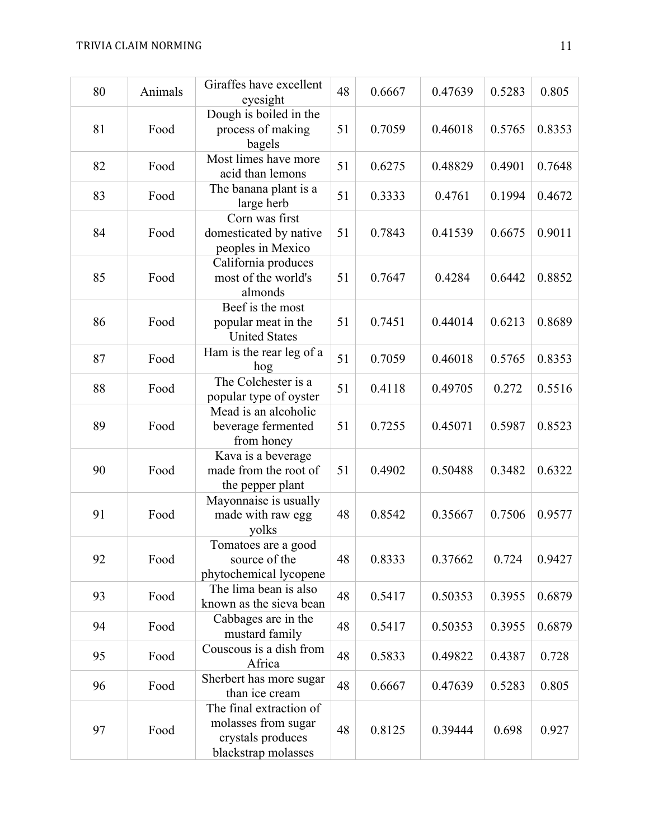| 80 | Animals | Giraffes have excellent<br>eyesight                                                        | 48 | 0.6667 | 0.47639 | 0.5283 | 0.805  |
|----|---------|--------------------------------------------------------------------------------------------|----|--------|---------|--------|--------|
| 81 | Food    | Dough is boiled in the<br>process of making<br>bagels                                      | 51 | 0.7059 | 0.46018 | 0.5765 | 0.8353 |
| 82 | Food    | Most limes have more<br>acid than lemons                                                   | 51 | 0.6275 | 0.48829 | 0.4901 | 0.7648 |
| 83 | Food    | The banana plant is a<br>large herb                                                        | 51 | 0.3333 | 0.4761  | 0.1994 | 0.4672 |
| 84 | Food    | Corn was first<br>domesticated by native<br>peoples in Mexico                              | 51 | 0.7843 | 0.41539 | 0.6675 | 0.9011 |
| 85 | Food    | California produces<br>most of the world's<br>almonds                                      | 51 | 0.7647 | 0.4284  | 0.6442 | 0.8852 |
| 86 | Food    | Beef is the most<br>popular meat in the<br><b>United States</b>                            | 51 | 0.7451 | 0.44014 | 0.6213 | 0.8689 |
| 87 | Food    | Ham is the rear leg of a<br>hog                                                            | 51 | 0.7059 | 0.46018 | 0.5765 | 0.8353 |
| 88 | Food    | The Colchester is a<br>popular type of oyster                                              | 51 | 0.4118 | 0.49705 | 0.272  | 0.5516 |
| 89 | Food    | Mead is an alcoholic<br>beverage fermented<br>from honey                                   | 51 | 0.7255 | 0.45071 | 0.5987 | 0.8523 |
| 90 | Food    | Kava is a beverage<br>made from the root of<br>the pepper plant                            | 51 | 0.4902 | 0.50488 | 0.3482 | 0.6322 |
| 91 | Food    | Mayonnaise is usually<br>made with raw egg<br>yolks                                        | 48 | 0.8542 | 0.35667 | 0.7506 | 0.9577 |
| 92 | Food    | Tomatoes are a good<br>source of the<br>phytochemical lycopene                             | 48 | 0.8333 | 0.37662 | 0.724  | 0.9427 |
| 93 | Food    | The lima bean is also<br>known as the sieva bean                                           | 48 | 0.5417 | 0.50353 | 0.3955 | 0.6879 |
| 94 | Food    | Cabbages are in the<br>mustard family                                                      | 48 | 0.5417 | 0.50353 | 0.3955 | 0.6879 |
| 95 | Food    | Couscous is a dish from<br>Africa                                                          | 48 | 0.5833 | 0.49822 | 0.4387 | 0.728  |
| 96 | Food    | Sherbert has more sugar<br>than ice cream                                                  | 48 | 0.6667 | 0.47639 | 0.5283 | 0.805  |
| 97 | Food    | The final extraction of<br>molasses from sugar<br>crystals produces<br>blackstrap molasses | 48 | 0.8125 | 0.39444 | 0.698  | 0.927  |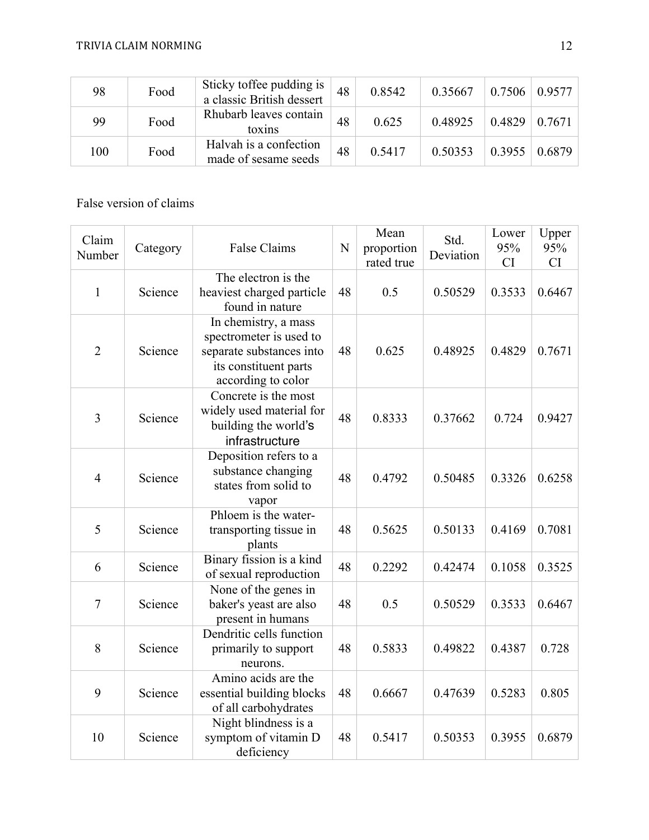| 98  | Food | Sticky toffee pudding is<br>a classic British dessert | 48 | 0.8542 | 0.35667 | 0.7506 | 0.9577 |
|-----|------|-------------------------------------------------------|----|--------|---------|--------|--------|
| 99  | Food | Rhubarb leaves contain<br>toxins                      | 48 | 0.625  | 0.48925 | 0.4829 | 0.7671 |
| 100 | Food | Halvah is a confection<br>made of sesame seeds        | 48 | 0.5417 | 0.50353 | 0.3955 | 0.6879 |

## False version of claims

| Claim<br>Number | Category | False Claims                                                                                                               | N  | Mean<br>proportion<br>rated true | Std.<br>Deviation | Lower<br>95%<br><b>CI</b> | Upper<br>95%<br>CI |
|-----------------|----------|----------------------------------------------------------------------------------------------------------------------------|----|----------------------------------|-------------------|---------------------------|--------------------|
| $\mathbf{1}$    | Science  | The electron is the<br>heaviest charged particle<br>found in nature                                                        | 48 | 0.5                              | 0.50529           | 0.3533                    | 0.6467             |
| $\overline{2}$  | Science  | In chemistry, a mass<br>spectrometer is used to<br>separate substances into<br>its constituent parts<br>according to color | 48 | 0.625                            | 0.48925           | 0.4829                    | 0.7671             |
| 3               | Science  | Concrete is the most<br>widely used material for<br>building the world's<br>infrastructure                                 | 48 | 0.8333                           | 0.37662           | 0.724                     | 0.9427             |
| $\overline{4}$  | Science  | Deposition refers to a<br>substance changing<br>states from solid to<br>vapor                                              | 48 | 0.4792                           | 0.50485           | 0.3326                    | 0.6258             |
| 5               | Science  | Phloem is the water-<br>transporting tissue in<br>plants                                                                   | 48 | 0.5625                           | 0.50133           | 0.4169                    | 0.7081             |
| 6               | Science  | Binary fission is a kind<br>of sexual reproduction                                                                         | 48 | 0.2292                           | 0.42474           | 0.1058                    | 0.3525             |
| $\tau$          | Science  | None of the genes in<br>baker's yeast are also<br>present in humans                                                        | 48 | 0.5                              | 0.50529           | 0.3533                    | 0.6467             |
| 8               | Science  | Dendritic cells function<br>primarily to support<br>neurons.                                                               | 48 | 0.5833                           | 0.49822           | 0.4387                    | 0.728              |
| 9               | Science  | Amino acids are the<br>essential building blocks<br>of all carbohydrates                                                   | 48 | 0.6667                           | 0.47639           | 0.5283                    | 0.805              |
| 10              | Science  | Night blindness is a<br>symptom of vitamin D<br>deficiency                                                                 | 48 | 0.5417                           | 0.50353           | 0.3955                    | 0.6879             |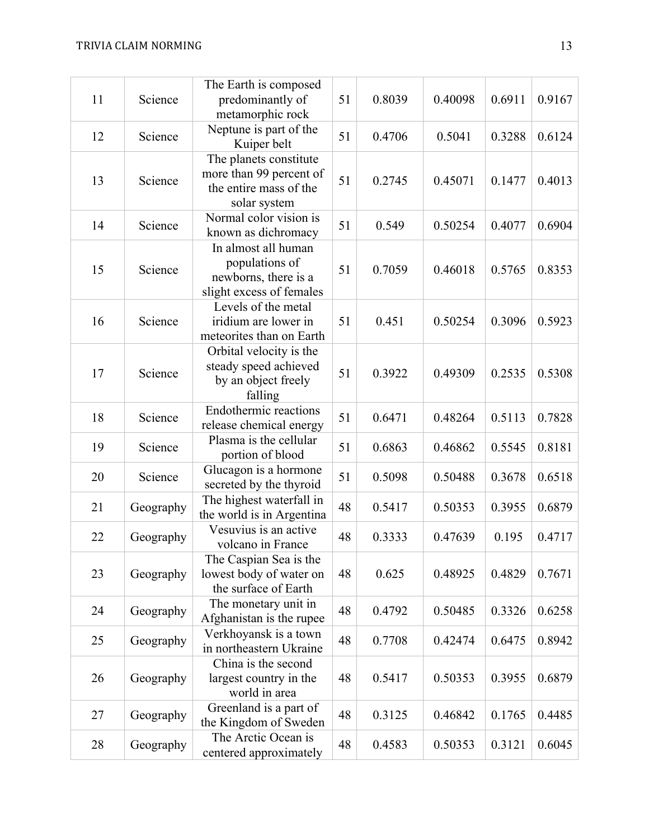| 11 | Science   | The Earth is composed<br>predominantly of<br>metamorphic rock                               | 51 | 0.8039 | 0.40098 | 0.6911 | 0.9167 |
|----|-----------|---------------------------------------------------------------------------------------------|----|--------|---------|--------|--------|
| 12 | Science   | Neptune is part of the<br>Kuiper belt                                                       | 51 | 0.4706 | 0.5041  | 0.3288 | 0.6124 |
| 13 | Science   | The planets constitute<br>more than 99 percent of<br>the entire mass of the<br>solar system | 51 | 0.2745 | 0.45071 | 0.1477 | 0.4013 |
| 14 | Science   | Normal color vision is<br>known as dichromacy                                               | 51 | 0.549  | 0.50254 | 0.4077 | 0.6904 |
| 15 | Science   | In almost all human<br>populations of<br>newborns, there is a<br>slight excess of females   | 51 | 0.7059 | 0.46018 | 0.5765 | 0.8353 |
| 16 | Science   | Levels of the metal<br>iridium are lower in<br>meteorites than on Earth                     | 51 | 0.451  | 0.50254 | 0.3096 | 0.5923 |
| 17 | Science   | Orbital velocity is the<br>steady speed achieved<br>by an object freely<br>falling          | 51 | 0.3922 | 0.49309 | 0.2535 | 0.5308 |
| 18 | Science   | Endothermic reactions<br>release chemical energy                                            | 51 | 0.6471 | 0.48264 | 0.5113 | 0.7828 |
| 19 | Science   | Plasma is the cellular<br>portion of blood                                                  | 51 | 0.6863 | 0.46862 | 0.5545 | 0.8181 |
| 20 | Science   | Glucagon is a hormone<br>secreted by the thyroid                                            | 51 | 0.5098 | 0.50488 | 0.3678 | 0.6518 |
| 21 | Geography | The highest waterfall in<br>the world is in Argentina                                       | 48 | 0.5417 | 0.50353 | 0.3955 | 0.6879 |
| 22 | Geography | Vesuvius is an active<br>volcano in France                                                  | 48 | 0.3333 | 0.47639 | 0.195  | 0.4717 |
| 23 | Geography | The Caspian Sea is the<br>lowest body of water on<br>the surface of Earth                   | 48 | 0.625  | 0.48925 | 0.4829 | 0.7671 |
| 24 | Geography | The monetary unit in<br>Afghanistan is the rupee                                            | 48 | 0.4792 | 0.50485 | 0.3326 | 0.6258 |
| 25 | Geography | Verkhoyansk is a town<br>in northeastern Ukraine                                            | 48 | 0.7708 | 0.42474 | 0.6475 | 0.8942 |
| 26 | Geography | China is the second<br>largest country in the<br>world in area                              | 48 | 0.5417 | 0.50353 | 0.3955 | 0.6879 |
| 27 | Geography | Greenland is a part of<br>the Kingdom of Sweden                                             | 48 | 0.3125 | 0.46842 | 0.1765 | 0.4485 |
| 28 | Geography | The Arctic Ocean is<br>centered approximately                                               | 48 | 0.4583 | 0.50353 | 0.3121 | 0.6045 |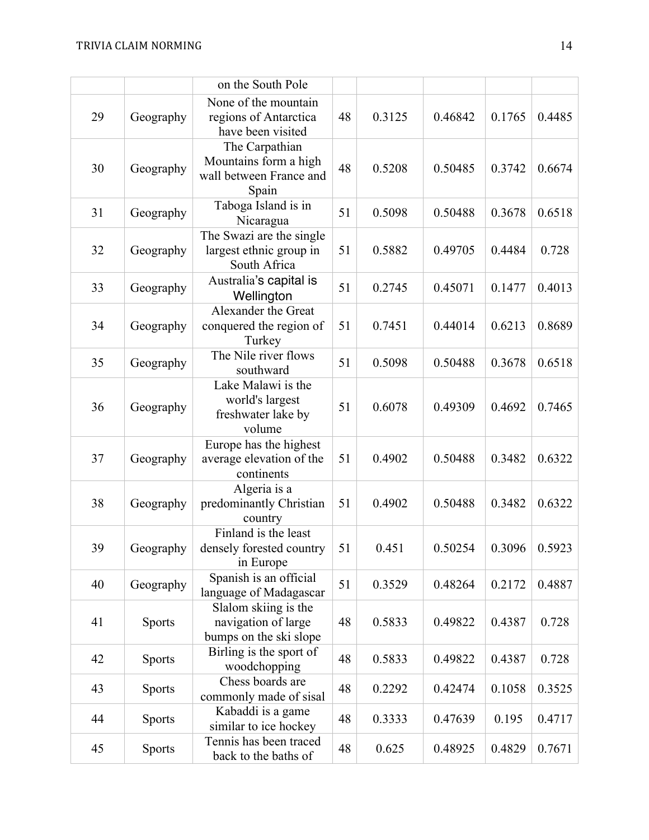|    |               | on the South Pole                                                           |    |        |         |        |        |
|----|---------------|-----------------------------------------------------------------------------|----|--------|---------|--------|--------|
| 29 | Geography     | None of the mountain<br>regions of Antarctica<br>have been visited          | 48 | 0.3125 | 0.46842 | 0.1765 | 0.4485 |
| 30 | Geography     | The Carpathian<br>Mountains form a high<br>wall between France and<br>Spain | 48 | 0.5208 | 0.50485 | 0.3742 | 0.6674 |
| 31 | Geography     | Taboga Island is in<br>Nicaragua                                            | 51 | 0.5098 | 0.50488 | 0.3678 | 0.6518 |
| 32 | Geography     | The Swazi are the single<br>largest ethnic group in<br>South Africa         | 51 | 0.5882 | 0.49705 | 0.4484 | 0.728  |
| 33 | Geography     | Australia's capital is<br>Wellington                                        | 51 | 0.2745 | 0.45071 | 0.1477 | 0.4013 |
| 34 | Geography     | Alexander the Great<br>conquered the region of<br>Turkey                    | 51 | 0.7451 | 0.44014 | 0.6213 | 0.8689 |
| 35 | Geography     | The Nile river flows<br>southward                                           | 51 | 0.5098 | 0.50488 | 0.3678 | 0.6518 |
| 36 | Geography     | Lake Malawi is the<br>world's largest<br>freshwater lake by<br>volume       | 51 | 0.6078 | 0.49309 | 0.4692 | 0.7465 |
| 37 | Geography     | Europe has the highest<br>average elevation of the<br>continents            | 51 | 0.4902 | 0.50488 | 0.3482 | 0.6322 |
| 38 | Geography     | Algeria is a<br>predominantly Christian<br>country                          | 51 | 0.4902 | 0.50488 | 0.3482 | 0.6322 |
| 39 | Geography     | Finland is the least<br>densely forested country<br>in Europe               | 51 | 0.451  | 0.50254 | 0.3096 | 0.5923 |
| 40 | Geography     | Spanish is an official<br>language of Madagascar                            | 51 | 0.3529 | 0.48264 | 0.2172 | 0.4887 |
| 41 | <b>Sports</b> | Slalom skiing is the<br>navigation of large<br>bumps on the ski slope       | 48 | 0.5833 | 0.49822 | 0.4387 | 0.728  |
| 42 | <b>Sports</b> | Birling is the sport of<br>woodchopping                                     | 48 | 0.5833 | 0.49822 | 0.4387 | 0.728  |
| 43 | <b>Sports</b> | Chess boards are<br>commonly made of sisal                                  | 48 | 0.2292 | 0.42474 | 0.1058 | 0.3525 |
| 44 | <b>Sports</b> | Kabaddi is a game<br>similar to ice hockey                                  | 48 | 0.3333 | 0.47639 | 0.195  | 0.4717 |
| 45 | <b>Sports</b> | Tennis has been traced<br>back to the baths of                              | 48 | 0.625  | 0.48925 | 0.4829 | 0.7671 |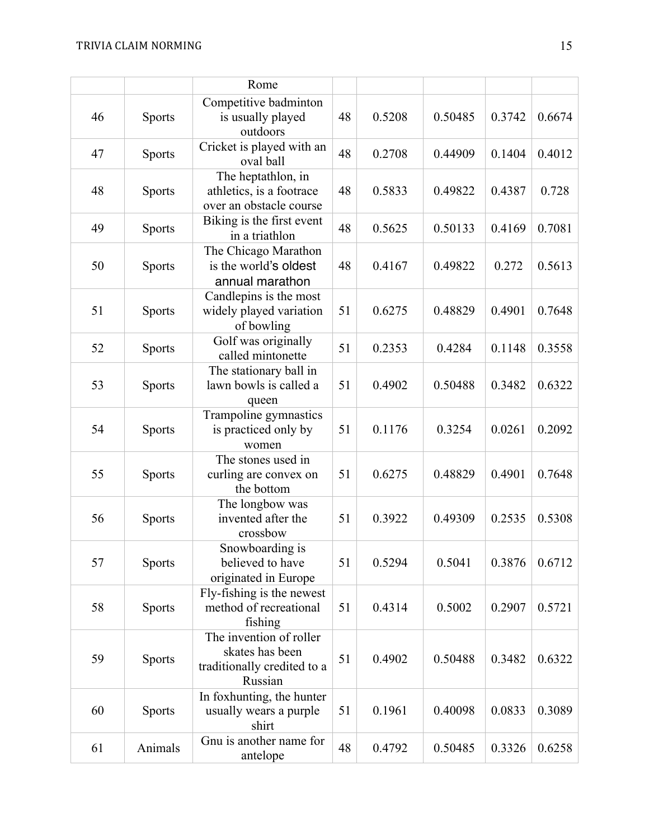|    |               | Rome                                                                                 |    |        |         |        |        |
|----|---------------|--------------------------------------------------------------------------------------|----|--------|---------|--------|--------|
| 46 | <b>Sports</b> | Competitive badminton<br>is usually played<br>outdoors                               | 48 | 0.5208 | 0.50485 | 0.3742 | 0.6674 |
| 47 | <b>Sports</b> | Cricket is played with an<br>oval ball                                               | 48 | 0.2708 | 0.44909 | 0.1404 | 0.4012 |
| 48 | <b>Sports</b> | The heptathlon, in<br>athletics, is a footrace<br>over an obstacle course            | 48 | 0.5833 | 0.49822 | 0.4387 | 0.728  |
| 49 | <b>Sports</b> | Biking is the first event<br>in a triathlon                                          | 48 | 0.5625 | 0.50133 | 0.4169 | 0.7081 |
| 50 | <b>Sports</b> | The Chicago Marathon<br>is the world's oldest<br>annual marathon                     | 48 | 0.4167 | 0.49822 | 0.272  | 0.5613 |
| 51 | <b>Sports</b> | Candlepins is the most<br>widely played variation<br>of bowling                      | 51 | 0.6275 | 0.48829 | 0.4901 | 0.7648 |
| 52 | <b>Sports</b> | Golf was originally<br>called mintonette                                             | 51 | 0.2353 | 0.4284  | 0.1148 | 0.3558 |
| 53 | <b>Sports</b> | The stationary ball in<br>lawn bowls is called a<br>queen                            | 51 | 0.4902 | 0.50488 | 0.3482 | 0.6322 |
| 54 | <b>Sports</b> | Trampoline gymnastics<br>is practiced only by<br>women                               | 51 | 0.1176 | 0.3254  | 0.0261 | 0.2092 |
| 55 | <b>Sports</b> | The stones used in<br>curling are convex on<br>the bottom                            | 51 | 0.6275 | 0.48829 | 0.4901 | 0.7648 |
| 56 | <b>Sports</b> | The longbow was<br>invented after the<br>crossbow                                    | 51 | 0.3922 | 0.49309 | 0.2535 | 0.5308 |
| 57 | <b>Sports</b> | Snowboarding is<br>believed to have<br>originated in Europe                          | 51 | 0.5294 | 0.5041  | 0.3876 | 0.6712 |
| 58 | <b>Sports</b> | Fly-fishing is the newest<br>method of recreational<br>fishing                       | 51 | 0.4314 | 0.5002  | 0.2907 | 0.5721 |
| 59 | <b>Sports</b> | The invention of roller<br>skates has been<br>traditionally credited to a<br>Russian | 51 | 0.4902 | 0.50488 | 0.3482 | 0.6322 |
| 60 | <b>Sports</b> | In foxhunting, the hunter<br>usually wears a purple<br>shirt                         | 51 | 0.1961 | 0.40098 | 0.0833 | 0.3089 |
| 61 | Animals       | Gnu is another name for<br>antelope                                                  | 48 | 0.4792 | 0.50485 | 0.3326 | 0.6258 |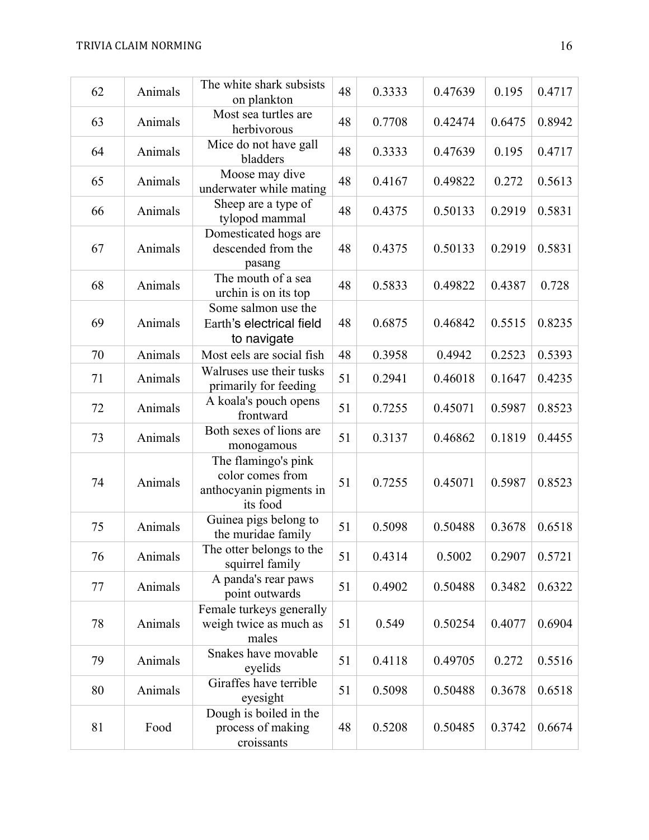| 62 | Animals | The white shark subsists<br>on plankton                                        | 48 | 0.3333 | 0.47639 | 0.195  | 0.4717 |
|----|---------|--------------------------------------------------------------------------------|----|--------|---------|--------|--------|
| 63 | Animals | Most sea turtles are<br>herbivorous                                            | 48 | 0.7708 | 0.42474 | 0.6475 | 0.8942 |
| 64 | Animals | Mice do not have gall<br>bladders                                              | 48 | 0.3333 | 0.47639 | 0.195  | 0.4717 |
| 65 | Animals | Moose may dive<br>underwater while mating                                      | 48 | 0.4167 | 0.49822 | 0.272  | 0.5613 |
| 66 | Animals | Sheep are a type of<br>tylopod mammal                                          | 48 | 0.4375 | 0.50133 | 0.2919 | 0.5831 |
| 67 | Animals | Domesticated hogs are<br>descended from the<br>pasang                          | 48 | 0.4375 | 0.50133 | 0.2919 | 0.5831 |
| 68 | Animals | The mouth of a sea<br>urchin is on its top                                     | 48 | 0.5833 | 0.49822 | 0.4387 | 0.728  |
| 69 | Animals | Some salmon use the<br>Earth's electrical field<br>to navigate                 | 48 | 0.6875 | 0.46842 | 0.5515 | 0.8235 |
| 70 | Animals | Most eels are social fish                                                      | 48 | 0.3958 | 0.4942  | 0.2523 | 0.5393 |
| 71 | Animals | Walruses use their tusks<br>primarily for feeding                              | 51 | 0.2941 | 0.46018 | 0.1647 | 0.4235 |
| 72 | Animals | A koala's pouch opens<br>frontward                                             | 51 | 0.7255 | 0.45071 | 0.5987 | 0.8523 |
| 73 | Animals | Both sexes of lions are<br>monogamous                                          | 51 | 0.3137 | 0.46862 | 0.1819 | 0.4455 |
| 74 | Animals | The flamingo's pink<br>color comes from<br>anthocyanin pigments in<br>its food | 51 | 0.7255 | 0.45071 | 0.5987 | 0.8523 |
| 75 | Animals | Guinea pigs belong to<br>the muridae family                                    | 51 | 0.5098 | 0.50488 | 0.3678 | 0.6518 |
| 76 | Animals | The otter belongs to the<br>squirrel family                                    | 51 | 0.4314 | 0.5002  | 0.2907 | 0.5721 |
| 77 | Animals | A panda's rear paws<br>point outwards                                          | 51 | 0.4902 | 0.50488 | 0.3482 | 0.6322 |
| 78 | Animals | Female turkeys generally<br>weigh twice as much as<br>males                    | 51 | 0.549  | 0.50254 | 0.4077 | 0.6904 |
| 79 | Animals | Snakes have movable<br>eyelids                                                 | 51 | 0.4118 | 0.49705 | 0.272  | 0.5516 |
| 80 | Animals | Giraffes have terrible<br>eyesight                                             | 51 | 0.5098 | 0.50488 | 0.3678 | 0.6518 |
| 81 | Food    | Dough is boiled in the<br>process of making<br>croissants                      | 48 | 0.5208 | 0.50485 | 0.3742 | 0.6674 |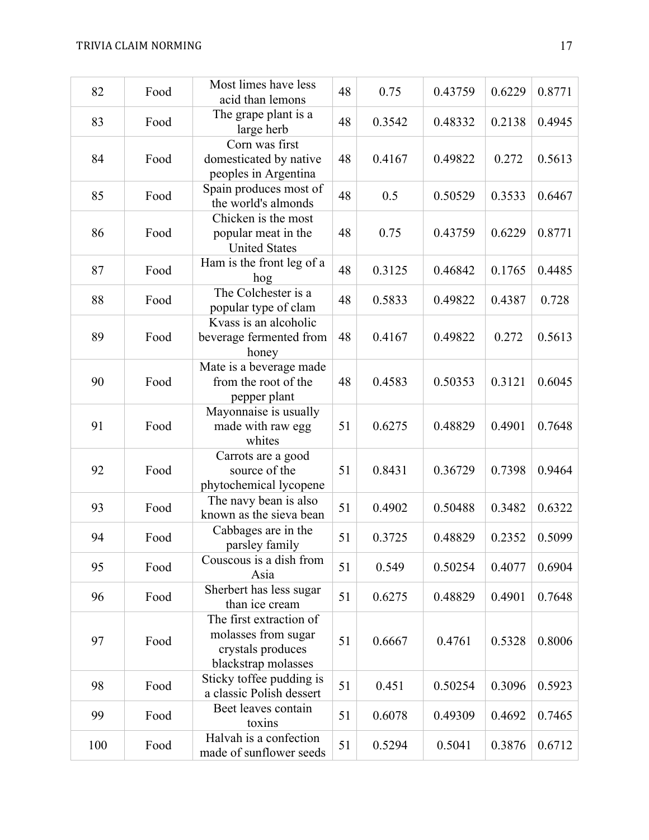| 82  | Food | Most limes have less<br>acid than lemons                                                   | 48 | 0.75   | 0.43759 | 0.6229 | 0.8771 |
|-----|------|--------------------------------------------------------------------------------------------|----|--------|---------|--------|--------|
| 83  | Food | The grape plant is a<br>large herb                                                         | 48 | 0.3542 | 0.48332 | 0.2138 | 0.4945 |
| 84  | Food | Corn was first<br>domesticated by native<br>peoples in Argentina                           | 48 | 0.4167 | 0.49822 | 0.272  | 0.5613 |
| 85  | Food | Spain produces most of<br>the world's almonds                                              | 48 | 0.5    | 0.50529 | 0.3533 | 0.6467 |
| 86  | Food | Chicken is the most<br>popular meat in the<br><b>United States</b>                         | 48 | 0.75   | 0.43759 | 0.6229 | 0.8771 |
| 87  | Food | Ham is the front leg of a<br>hog                                                           | 48 | 0.3125 | 0.46842 | 0.1765 | 0.4485 |
| 88  | Food | The Colchester is a<br>popular type of clam                                                | 48 | 0.5833 | 0.49822 | 0.4387 | 0.728  |
| 89  | Food | Kvass is an alcoholic<br>beverage fermented from<br>honey                                  | 48 | 0.4167 | 0.49822 | 0.272  | 0.5613 |
| 90  | Food | Mate is a beverage made<br>from the root of the<br>pepper plant                            | 48 | 0.4583 | 0.50353 | 0.3121 | 0.6045 |
| 91  | Food | Mayonnaise is usually<br>made with raw egg<br>whites                                       | 51 | 0.6275 | 0.48829 | 0.4901 | 0.7648 |
| 92  | Food | Carrots are a good<br>source of the<br>phytochemical lycopene                              | 51 | 0.8431 | 0.36729 | 0.7398 | 0.9464 |
| 93  | Food | The navy bean is also<br>known as the sieva bean                                           | 51 | 0.4902 | 0.50488 | 0.3482 | 0.6322 |
| 94  | Food | Cabbages are in the<br>parsley family                                                      | 51 | 0.3725 | 0.48829 | 0.2352 | 0.5099 |
| 95  | Food | Couscous is a dish from<br>Asia                                                            | 51 | 0.549  | 0.50254 | 0.4077 | 0.6904 |
| 96  | Food | Sherbert has less sugar<br>than ice cream                                                  | 51 | 0.6275 | 0.48829 | 0.4901 | 0.7648 |
| 97  | Food | The first extraction of<br>molasses from sugar<br>crystals produces<br>blackstrap molasses | 51 | 0.6667 | 0.4761  | 0.5328 | 0.8006 |
| 98  | Food | Sticky toffee pudding is<br>a classic Polish dessert                                       | 51 | 0.451  | 0.50254 | 0.3096 | 0.5923 |
| 99  | Food | Beet leaves contain<br>toxins                                                              | 51 | 0.6078 | 0.49309 | 0.4692 | 0.7465 |
| 100 | Food | Halvah is a confection<br>made of sunflower seeds                                          | 51 | 0.5294 | 0.5041  | 0.3876 | 0.6712 |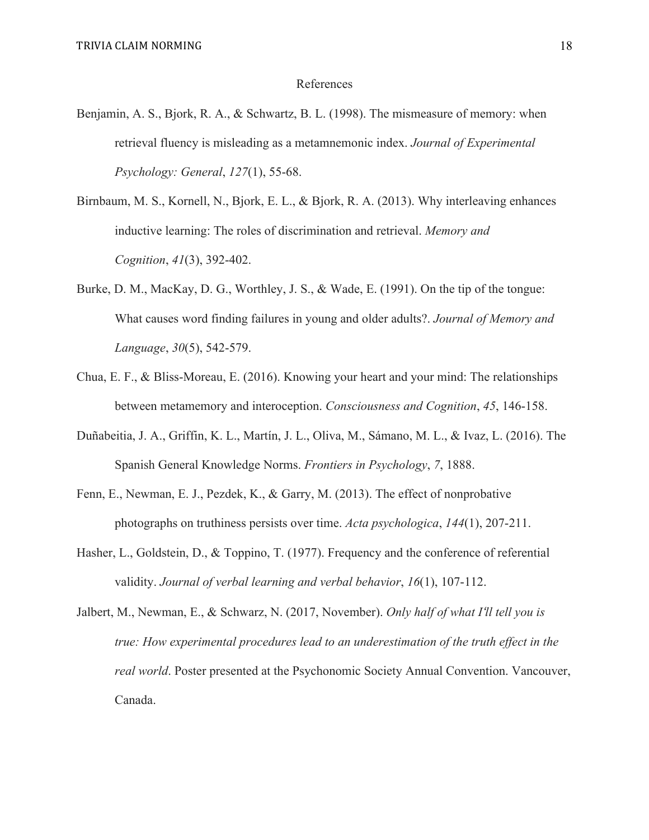#### References

- Benjamin, A. S., Bjork, R. A., & Schwartz, B. L. (1998). The mismeasure of memory: when retrieval fluency is misleading as a metamnemonic index. *Journal of Experimental Psychology: General*, *127*(1), 55-68.
- Birnbaum, M. S., Kornell, N., Bjork, E. L., & Bjork, R. A. (2013). Why interleaving enhances inductive learning: The roles of discrimination and retrieval. *Memory and Cognition*, *41*(3), 392-402.
- Burke, D. M., MacKay, D. G., Worthley, J. S., & Wade, E. (1991). On the tip of the tongue: What causes word finding failures in young and older adults?. *Journal of Memory and Language*, *30*(5), 542-579.
- Chua, E. F., & Bliss-Moreau, E. (2016). Knowing your heart and your mind: The relationships between metamemory and interoception. *Consciousness and Cognition*, *45*, 146-158.
- Duñabeitia, J. A., Griffin, K. L., Martín, J. L., Oliva, M., Sámano, M. L., & Ivaz, L. (2016). The Spanish General Knowledge Norms. *Frontiers in Psychology*, *7*, 1888.
- Fenn, E., Newman, E. J., Pezdek, K., & Garry, M. (2013). The effect of nonprobative photographs on truthiness persists over time. *Acta psychologica*, *144*(1), 207-211.
- Hasher, L., Goldstein, D., & Toppino, T. (1977). Frequency and the conference of referential validity. *Journal of verbal learning and verbal behavior*, *16*(1), 107-112.
- Jalbert, M., Newman, E., & Schwarz, N. (2017, November). *Only half of what I'll tell you is true: How experimental procedures lead to an underestimation of the truth effect in the real world*. Poster presented at the Psychonomic Society Annual Convention. Vancouver, Canada.